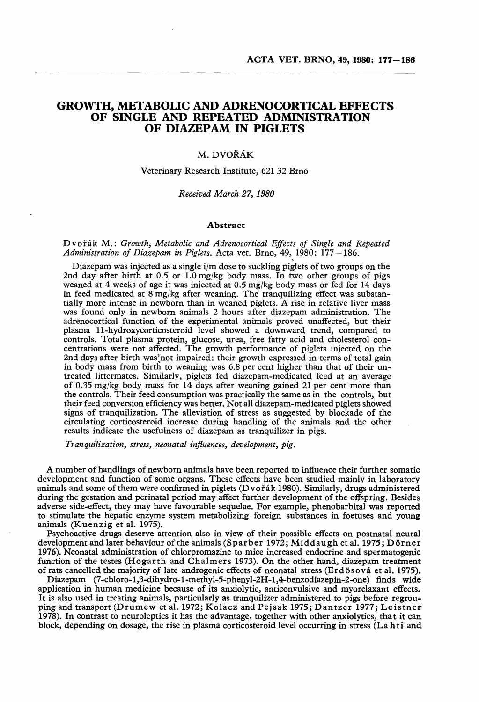# GROWTH, METABOLIC AND ADRENOCORTICAL EFFECTS OF SINGLE AND REPEATED ADMINISTRATION OF DIAZEPAM IN PIGLETS

## M.DVORAK

### Veterinary Research Institute, 621 32 Brno

#### *Received March* 27, *1980*

#### Abstract

### Dvořák M.: Growth, Metabolic and Adrenocortical Effects of Single and Repeated *Administration of Diazepam in Piglets.* Acta vet. Brno, 49, 1980: 177-186.

Diazepam was injected as a single i/m dose to suckling piglets of two groups on the 2nd day after birth at  $0.5$  or  $1.0$  mg/kg body mass. In two other groups of pigs weaned at 4 weeks of age it was injected at 0.5 mg/kg body mass or fed for 14 days in feed medicated at  $8 \text{ mg/kg}$  after weaning. The tranquilizing effect was substantially more intense in newborn than in weaned piglets. A rise in relative liver mass was found only in newborn animals 2 hours after diazepam administration. The adrenocortical function of the experimental animals proved unaffected, but their plasma Ll-hydroxycorticcsteroid level showed a downward trend, compared to controls. Total plasma protein, glucose, urea, free fatty acid and cholesterol concentrations were not affected. The growth performance of piglets injected on the 2nd days after birth was not impaired: their growth expressed in terms of total gain in body mass from birth to weaning was 6.8 per cent higher than that of their untreated littermates. Similarly, piglets fed diazepam-medicated feed at an average of 0.35 mg/kg body mass for 14 days after weaning gained 21 per cent more than the controls. Their feed consumption was practically the same as in the controls, but their feed conversion efficiency was better. Not all diazepam-medicated piglets showed signs of tranquilization. The alleviation of stress as suggested by blockade of the circulating corticosteroid increase during handling of the animals and the other results indicate the usefulness of diazepam as tranquilizer in pigs.

*Tranquilization, stress, neonatal influences, development, pig.*

A number of handlings of newborn animals have been reported to influence their further somatic development and function of some organs. These effects have been studied mainly in laboratory animals and some of them were confirmed in piglets (Dvořák 1980). Similarly, drugs administered during the gestation and perinatal period may affect further development of the offspring. Besides adverse side-effect, they may have favourable sequelae. For example, phenobarbital was reported to stimulate the hepatic enzyme system metabolizing foreign substances in foetuses and young animals (Kuenzig et a1. 1975).

Psychoactive drugs deserve attention also in view of their possible effects on postnatal neural development and later behaviour of the animals (Sparber 1972; Middaugh et al. 1975; Dörner 1976). Neonatal administration of chlorpromazine to mice increased endocrine and spermatogenic function of the testes (Hogarth and Chalmers 1973). On the other hand, diazepam treatment of rats cancelled the majority of late androgenic effects of neonatal stress (Erdösová et al. 1975).

Diazepam (7-chloro-l,3-dihydro-l-methyl-5-phenyl-2H-l,4-benzodiazepin-2-one) finds wide application in human medicine because of its anxiolytic, anticonvulsive and myorelaxant effects. It is also used in treating animals, particularly as tranquilizer administered to pigs before regrouping and transport (Drumew et a1. 1972; Kolacz and Pejsak 1975; Dantzer 1977; Leistner 1978). In contrast to neuroleptics it has the advantage, together with other anxiolytics, that it can block, depending on dosage, the rise in plasma corticosteroid level occurring in stress (La hti and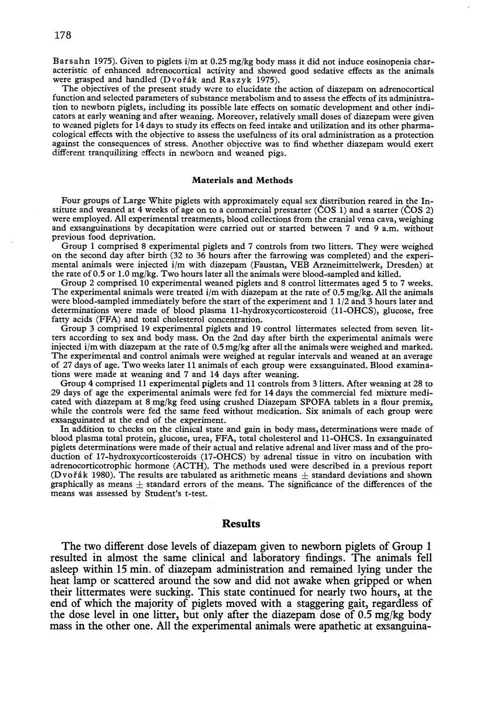Barsahn 1975). Given to piglets i/m at 0.25 mg/kg body mass it did not induce eosinopenia characteristic of enhanced adrenocortical activity and showed good sedative effects as the animals were grasped and handled ( $D$ vorak and Raszyk 1975).

The objectives of the present study were to elucidate the action of diazepam on adrenocortical function and selected parameters of substance metabolism and to assess the effects of its administration to newborn piglets, including its possible late effects on somatic development and other indicators at early weaning and after weaning. Moreover, relatively small doses of diazepam were given to weaned piglets for 14 days to study its effects on feed intake and utilization and its other pharmacological effects with the objective to assess the usefulness of its oral administration as a protection against the consequences of stress. Another objective was to find whether diazepam would exert different tranquilizing effects in newborn and weaned pigs.

### Materials and Methods

Four groups of Large White piglets with approximately equal sex distribution reared in the Institute and weaned at 4 weeks of age on to a commercial prestarter (COS 1) and a starter (COS 2) were employed. All experimental treatments, blood collections from the cranial vena cava, weighing and exsanguinations by decapitation were carried out or started between 7 and 9 a.m, without previous food deprivation.

Group 1 comprised 8 experimental piglets and 7 controls from two litters. They were weighed on the second day after birth (32 to 36 hours after the farrowing was completed) and the experimental animals were injected i/m with diazepam (Faustan, VEB Arzneimittelwerk, Dresden) at the rate of 0.5 or 1.0 mg/kg. Two hours later all the animals were blood-sampled and killed.

Group 2 comprised 10 experimental weaned piglets and 8 control littermates aged 5 to 7 weeks. The experimental animals were treated i/m with diazepam at the rate of 0.5 mg/kg. All the animals were blood-sampled immediately before the start of the experiment and 1 1/2 and 3 hours later and determinations were made of blood plasma Il-hydroxycorticosteroid (II-ORCS), glucose, free fatty acids (FFA) and total cholesterol concentration.

Group 3 comprised 19 experimental piglets and 19 control littermates selected from seven litters according to sex and body mass. On the 2nd day after birth the experimental animals were injected i/m with diazepam at the rate of 0.5 mg/kg after all the animals were weighed and marked. The experimental and control animals were weighed at regular intervals and weaned at an average of 27 days of age. Two weeks later 11 animals of each group were exsanguinated. Blood examinations were made at weaning and 7 and 14 days after weaning.

Group 4 comprised 11 experimental piglets and 11 controls from 3 litters. After weaning at 28 to 29 days of age the experimental animals were fed for 14 days the commercial fed mixture medicated with diazepam at 8 mg/kg feed using crushed Diazepam SPOFA tablets in a flour premix, while the controls were fed the same feed without medication. Six animals of each group were exsanguinated at the end of the experiment.

In addition to checks on the clinical state and gain in body mass, determinations were made of blood plasma total protein, glucose, urea, FFA, total cholesterol and II-ORCS. In exsanguinated piglets determinations were made of their actual and relative adrenal and liver mass and of the production of 17-hydroxycorticosteroids (17-0RCS) by adrenal tissue in vitro on incubation with adrenocorticotrophic hormone (ACTR). The methods used were described in a previous report (Dvořák 1980). The results are tabulated as arithmetic means  $+$  standard deviations and shown graphically as means  $\pm$  standard errors of the means. The significance of the differences of the means was assessed by Student's t-test.

### Results

The two different dose levels of diazepam given to newborn piglets of Group 1 resulted in almost the same clinical and laboratory findings. The animals fell asleep within 15 min. of diazepam administration and remained lying under the heat lamp or scattered around the sow and did not awake when gripped or when their littermates were sucking. This state continued for nearly two hours, at the end of which the majority of piglets moved with a staggering gait, regardless of the dose level in one litter, but only after the diazepam dose of  $0.5 \text{ mg/kg}$  body mass in the other one. All the experimental animals were apathetic at exsanguina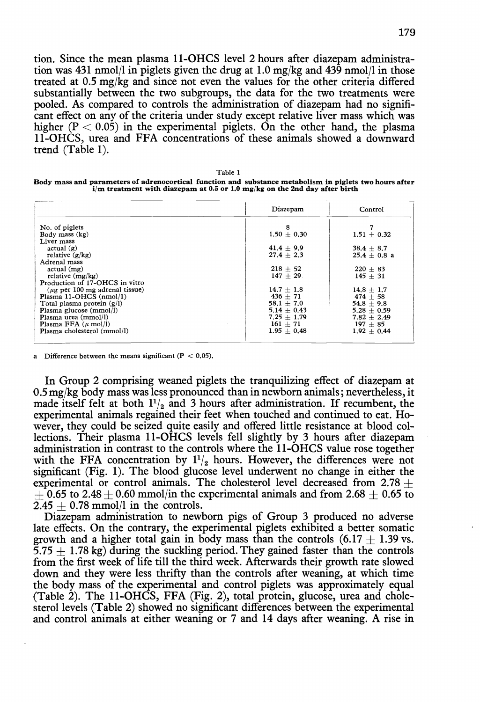tion. Since the mean plasma II-ORCS level 2 hours after diazepam administration was 431 nmol/l in piglets given the drug at 1.0 mg/kg and 439 nmol/l in those treated at  $0.5 \text{ mg/kg}$  and since not even the values for the other criteria differed substantially between the two subgroups, the data for the two treatments were pooled. As compared to controls the administration of diazepam had no significant effect on any of the criteria under study except relative liver mass which was higher  $(P < 0.05)$  in the experimental piglets. On the other hand, the plasma II-ORCS, urea and FFA concentrations of these animals showed a downward trend (Table 1).

|                                                                                                                                                                                         | Table 1 |  |  |
|-----------------------------------------------------------------------------------------------------------------------------------------------------------------------------------------|---------|--|--|
| Body mass and parameters of adrenocortical function and substance metabolism in piglets two hours after<br>$i/m$ treatment with diazepam at 0.5 or 1.0 mg/kg on the 2nd day after birth |         |  |  |
|                                                                                                                                                                                         |         |  |  |

|                                         | Diazepam        | Control         |
|-----------------------------------------|-----------------|-----------------|
| No. of piglets                          | 8               |                 |
| Body mass (kg)                          | $1.50 \pm 0.30$ | $1.51 \pm 0.32$ |
| Liver mass                              |                 |                 |
| actual(g)                               | $41.4 + 9.9$    | $38.4 + 8.7$    |
| relative $(g/kg)$                       | $27.4 + 2.3$    | $25.4 + 0.8$ a  |
| Adrenal mass                            |                 |                 |
| $actual$ (mg)                           | $218 + 52$      | $220 + 83$      |
| relative $(mg/kg)$                      | $147 + 29$      | $145 + 31$      |
| Production of 17-OHCS in vitro          |                 |                 |
| $( \mu \rho$ per 100 mg adrenal tissue) | $14.7 + 1.8$    | $14.8 + 1.7$    |
| Plasma 11-OHCS (nmol/1)                 | $436 + 71$      | $474 + 58$      |
| Total plasma protein $(g/l)$            | $58.1 + 7.0$    | $54.8 + 9.8$    |
| Plasma glucose (mmol/l)                 | $5.14 + 0.43$   | $5.28 + 0.59$   |
| Plasma urea (mmol/l)                    | $7.25 + 1.79$   | $7.82 + 2.49$   |
| Plasma FFA $(\mu \text{ mol/l})$        | $161 + 71$      | $197 + 85$      |
| Plasma cholesterol (mmol/l)             | $1.95 \pm 0.48$ | $1.92 + 0.44$   |
|                                         |                 |                 |

Difference between the means significant ( $P < 0.05$ ).

In Group 2 comprising weaned piglets the tranquilizing effect of diazepam at 0.5 mg/kg body mass was less pronounced than in newborn animals; nevertheless, it made itself felt at both  $1\frac{1}{2}$  and 3 hours after administration. If recumbent, the experimental animals regained their feet when touched and continued to eat. However, they could be seized quite easily and offered little resistance at blood collections. Their plasma II-OHCS levels fell slightly by 3 hours after diazepam administration in contrast to the controls where the II-ORCS value rose together with the FFA concentration by  $1\frac{1}{2}$  hours. However, the differences were not significant (Fig. I). The blood glucose level underwent no change in either the experimental or control animals. The cholesterol level decreased from  $2.78 +$  $\pm$  0.65 to 2.48  $\pm$  0.60 mmol/in the experimental animals and from 2.68  $\pm$  0.65 to  $2.45 + 0.78$  mmol/l in the controls.

Diazepam administration to newborn pigs of Group 3 produced no adverse late effects. On the contrary, the experimental piglets exhibited a better somatic growth and a higher total gain in body mass than the controls  $(6.17 + 1.39 \text{ vs.})$  $5.75 + 1.78$  kg) during the suckling period. They gained faster than the controls from the first week of life till the third week. Afterwards their growth rate slowed down and they were less thrifty than the controls after weaning, at which time the body mass of the experimental and control piglets was approximately equal (Table 2). The 11-OHCS, FFA (Fig. 2), total protein, glucose, urea and cholesterol levels (Table 2) showed no significant differences between the experimental and control animals at either weaning or 7 and 14 days after weaning. A rise in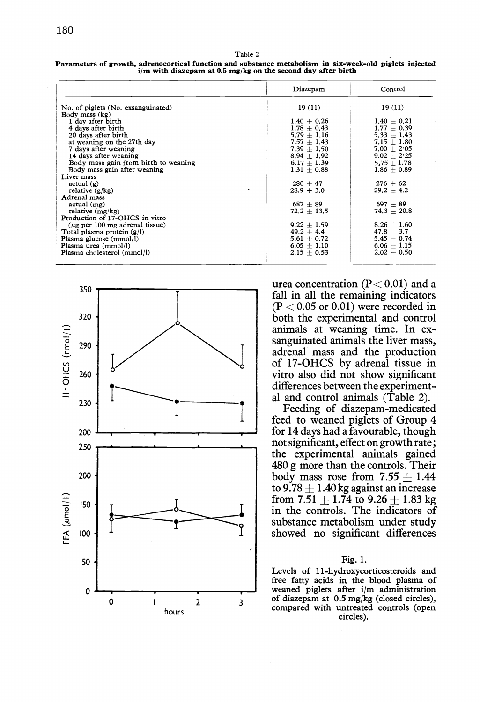Table 2 Parameters of growth, adrenocortical function and substance metabolism in six-week-old piglets injected i/m with diazepam at 0.5 mg/kg on the second day after birth

|                                      | Diazepam        | Control         |
|--------------------------------------|-----------------|-----------------|
| No. of piglets (No. exsanguinated)   | 19(11)          | 19(11)          |
| Body mass (kg)                       |                 |                 |
| 1 day after birth                    | $1.40 + 0.26$   | $1.40 \pm 0.21$ |
| 4 days after birth                   | $1.78 + 0.43$   | $1.77 + 0.39$   |
| 20 days after birth                  | $5.79 \pm 1.16$ | $5.33 \pm 1.43$ |
| at weaning on the 27th day           | $7.57 + 1.43$   | $7.15 \pm 1.80$ |
| 7 days after weaning                 | $7.39 + 1.50$   | $7.00 + 2.05$   |
| 14 days after weaning                | $8.94 + 1.92$   | $9.02 + 2.25$   |
| Body mass gain from birth to weaning | $6.17 + 1.39$   | $5.75 \pm 1.78$ |
| Body mass gain after weaning         | $1.31 + 0.88$   | $1.86 \pm 0.89$ |
| Liver mass                           |                 |                 |
| actual(g)                            | $280 + 47$      | $276 \pm 62$    |
| relative $(g/kg)$                    | $28.9 + 3.0$    | $29.2 \pm 4.2$  |
| Adrenal mass                         |                 |                 |
| $actual$ (mg)                        | $687 + 89$      | $697 + 89$      |
| relative $(mg/kg)$                   | $72.2 + 13.5$   | $74.3 + 20.8$   |
| Production of 17-OHCS in vitro       |                 |                 |
| $(\mu$ g per 100 mg adrenal tissue)  | $9.22 + 1.59$   | $8.26 + 1.60$   |
| Total plasma protein $(g/l)$         | $49.2 \pm 4.4$  | $47.8 \pm 3.7$  |
| Plasma glucose (mmol/l)              | $5.61 + 0.72$   | $5.45 \pm 0.74$ |
| Plasma urea (mmol/l)                 | $6.05 + 1.10$   | $6.06 + 1.15$   |
| Plasma cholesterol (mmol/l)          | $2.15 + 0.53$   | $2.02 + 0.50$   |
|                                      |                 |                 |



urea concentration  $(P< 0.01)$  and a fall in all the remaining indicators  $(P < 0.05$  or 0.01) were recorded in both the experimental and control animals at weaning time. In exsanguinated animals the liver mass, adrenal mass and the production of 17-0HCS by adrenal tissue in vitro also did not show significant differences between the experimental and control animals (Table 2).

Feeding of diazepam-medicated feed to weaned piglets of Group 4 for 14 days had a favourable, though not significant, effect on growth rate; the experimental animals gained 480 g more than the controls. Their body mass rose from  $7.55 + 1.44$ to  $9.78 + 1.40$  kg against an increase from 7.51  $+$  1.74 to 9.26  $+$  1.83 kg in the controls. The indicators of substance metabolism under study showed no significant differences

### Fig. I.

Levels of Ll-hydroxycorticosteroids and free fatty acids in the blood plasma of weaned piglets after i/m administration of diazepam at 0.5 mg/kg (closed circles), compared with untreated controls (open circles).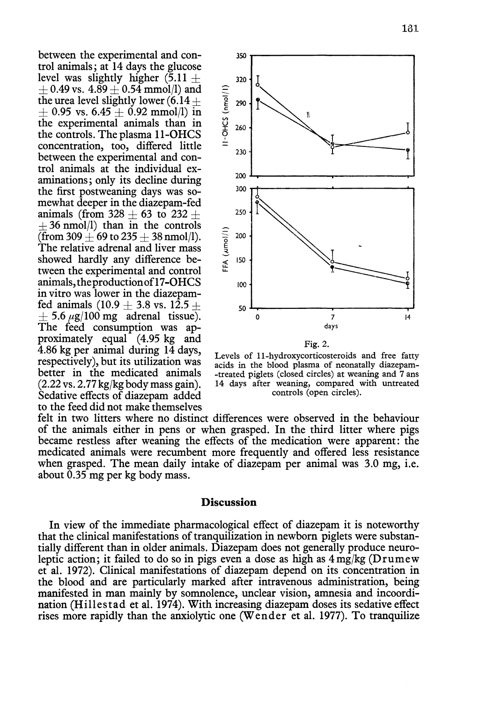between the experimental and control animals; at 14 days the glucose level was slightly higher  $(5.11 +$  $+$  0.49 vs. 4.89  $+$  0.54 mmol/l) and the urea level slightly lower  $(6.14 +$  $\pm$  0.95 vs. 6.45  $\pm$  0.92 mmol/l) in the experimental animals than in the controls. The plasma 11-OHCS concentration, too, differed little between the experimental and control animals at the individual examinations; only its decline during the first postweaning days was somewhat deeper in the diazepam-fed animals (from  $328 + 63$  to  $232 +$  $+36$  nmol/l) than in the controls (from 309  $+$  69 to 235  $+$  38 nmol/l). The relative adrenal and liver mass showed hardly any difference between the experimental and control animals, the production of 17-OHCS in vitro was lower in the diazepamfed animals  $(10.9 + 3.8 \text{ vs. } 12.5 +$  $+$  5.6  $\mu$ g/100 mg adrenal tissue). The feed consumption was approximately equal (4.95 kg and  $4.86$  kg per animal during  $14$  days, respectively), but its utilization was better in the medicated animals  $(2.22 \text{ vs. } 2.77 \text{ kg/kg}$  body mass gain). Sedative effects of diazepam added to the feed did not make themselves



Levels of 11-hydroxycorticosteroids and free fatty acids in the blood plasma of neonatally diazepam--treated piglets (closed circles) at weaning and 7 ans 14 days after weaning, compared with untreated controls (open circles).

felt in two litters where no distinct differences were observed in the behaviour of the animals either in pens or when grasped. In the third litter where pigs became restless after weaning the effects of the medication were apparent: the medicated animals were recumbent more frequently and offered less resistance when grasped. The mean daily intake of diazepam per animal was 3.0 mg, i.e. about  $0.35$  mg per kg body mass.

## **Discussion**

In view of the immediate pharmacological effect of diazepam it is noteworthy that the clinical manifestations of tranquilization in newborn piglets were substantially different than in older animals. Diazepam does not generally produce neuroleptic action; it failed to do so in pigs even a dose as high as  $4 \,\mathrm{mg/kg}$  (Drumew et al. 1972). Clinical manifestations of diazepam depend on its concentration in the blood and are particularly marked after intravenous administration, being manifested in man mainly by somnolence, unclear vision, amnesia and incoordination (Hillestad et al. 1974). With increasing diazepam doses its sedative effect rises more rapidly than the anxiolytic one (Wender et al. 1977). To tranquilize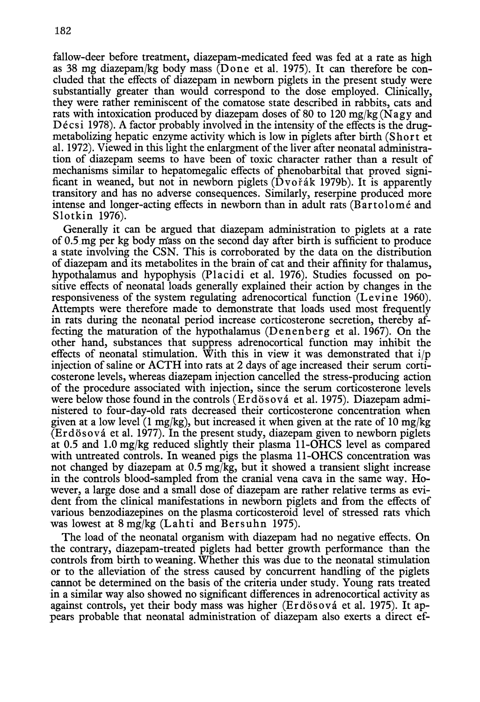182

fallow-deer before treatment, diazepam-medicated feed was fed at a rate as high as 38 mg diazepam/kg body mass (Done et al. 1975). It can therefore be concluded that the effects of diazepam in newborn piglets in the present study were substantially greater than would correspond to the dose employed. Clinically, they were rather reminiscent of the comatose state described in rabbits, cats and rats with intoxication produced by diazepam doses of 80 to 120 mg/kg (N agy and Décsi 1978). A factor probably involved in the intensity of the effects is the drugmetabolizing hepatic enzyme activity which is low in piglets after birth (Short et al. 1972). Viewed in this light the enlargment of the liver after neonatal administration of diazepam seems to have been of toxic character rather than a result of mechanisms similar to hepatomegalic effects of phenobarbital that proved significant in weaned, but not in newborn piglets  $(D\nu \circ \hat{\alpha} k$  1979b). It is apparently transitory and has no adverse consequences. Similarly, reserpine produced more intense and longer-acting effects in newborn than in adult rats (Bartolome and Slotkin 1976).

Generally it can be argued that diazepam administration to piglets at a rate of 0.5\_mg per kg body mass on the second day after birth is sufficient to produce a state involving the CSN. This is corroborated by the data on the distribution of diazepam and its metabolites in the brain of cat and their affinity for thalamus, hypothalamus and hypophysis (Placidi et al. 1976). Studies focussed on positive effects of neonatal loads generally explained their action by changes in the responsiveness of the system regulating adrenocortical function (Levine 1960). Attempts were therefore made to demonstrate that loads used most frequently in rats during the neonatal period increase corticosterone secretion, thereby affecting the maturation of the hypothalamus (Denenberg et al. 1967). On the other hand, substances that suppress adrenocortical function may inhibit the effects of neonatal stimulation. With this in view it was demonstrated that  $i/p$ injection of saline or ACTH into rats at 2 days of age increased their serum corticosterone levels, whereas diazepam injection cancelled the stress-producing action of the procedure associated with injection, since the serum corticosterone levels were below those found in the controls (Erdösová et al. 1975). Diazepam administered to four-day-old rats decreased their corticosterone concentration when given at a low level (1 mg/kg), but increased it when given at the rate of 10 mg/kg (Erdösová et al. 1977). In the present study, diazepam given to newborn piglets at 0.5 and 1.0 mg/kg reduced slightly their plasma 11-OHCS level as compared with untreated controls. In weaned pigs the plasma 11-OHCS concentration was not changed by diazepam at 0.5 mg/kg, but it showed a transient slight increase in the controls blood-sampled from the cranial vena cava in the same way. However, a large dose and a small dose of diazepam are rather relative terms as evident from the clinical manifestations in newborn piglets and from the effects of various benzodiazepines on the plasma corticosteroid level of stressed rats vhich was lowest at  $8 \text{ mg/kg}$  (Lahti and Bersuhn 1975).

The load of the neonatal organism with diazepam had no negative effects. On the contrary, diazepam-treated piglets had better growth performance than the controls from birth to weaning. Whether this was due to the neonatal stimulation or to the alleviation of the stress caused by concurrent handling of the piglets cannot be determined on the basis of the criteria under study. Young rats treated in a similar way also showed no significant differences in adrenocortical activity as against controls, yet their body mass was higher (Erdösová et al. 1975). It appears probable that neonatal administration of diazepam also exerts a direct ef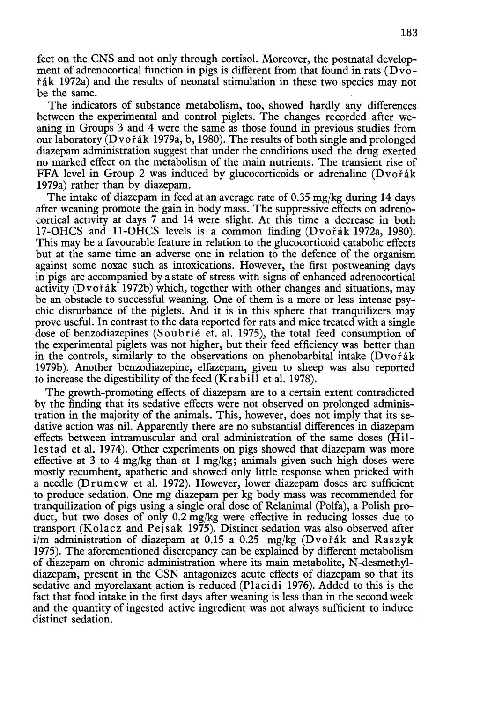feet on the CNS and not only through cortisol. Moreover, the postnatal development of adrenocortical function in pigs is different from that found in rats  $(D\nu\ddot{o}$ - $\check{\text{r}}$ ák 1972a) and the results of neonatal stimulation in these two species may not be the same.

The indicators of substance metabolism, too, showed hardly any differences between the experimental and control piglets. The changes recorded after weaning in Groups 3 and 4 were the same as those found in previous studies from our laboratory (Dvořák 1979a, b, 1980). The results of both single and prolonged diazepam administration suggest that under the conditions used the drug exerted no marked effect on the metabolism of the main nutrients. The transient rise of FFA level in Group 2 was induced by glucocorticoids or adrenaline  $(D\nu o^{\dagger}$ ák 1979a) rather than by diazepam.

The intake of diazepam in feed at an average rate of  $0.35$  mg/kg during 14 days after weaning promote the gain in body mass. The suppressive effects on adrenocortical activity at days 7 and 14 were slight. At this time a decrease in both 17-OHCS and 11-OHCS levels is a common finding  $(D\nu \circ \check{\mathsf{A}} k$  1972a, 1980). This may be a favourable feature in relation to the glucocorticoid catabolic effects but at the same time an adverse one in relation to the defence of the organism against some noxae such as intoxications. However, the first postweaning days in pigs are accompanied by a state of stress with signs of enhanced adrenocortical activity (Dvořák 1972b) which, together with other changes and situations, may be an obstacle to successful weaning. One of them is a more or less intense psychic disturbance of the piglets. And it is in this sphere that tranquilizers may prove useful. In contrast to the data reported for rats and mice treated with a single dose of benzodiazepines (Soubrie et. al. 1975), the total feed consumption of the experimental piglets was not higher, but their feed efficiency was better than in the controls, similarly to the observations on phenobarbital intake  $(D\nu o^2)$ 1979b). Another benzodiazepine, elfazepam, given to sheep was also reported to increase the digestibility of the feed ( $\overline{K}$ rabill et al. 1978).

The growth-promoting effects of diazepam are to a certain extent contradicted by the finding that its sedative effects were not observed on prolonged administration in the majority of the animals. This, however, does not imply that its sedative action was nil. Apparently there are no substantial differences in diazepam effects between intramuscular and oral administration of the same doses (Hillestad et al. 1974). Other experiments on pigs showed that diazepam was more effective at 3 to 4 mg/kg than at 1 mg/kg; animals given such high doses were mostly recumbent, apathetic and showed only little response when pricked with a needle (Drumew et al. 1972). However, lower diazepam doses are sufficient to produce sedation. One mg diazepam per kg body mass was recommended for tranquilization of pigs using a single oral dose of Relanimal (Polfa), a Polish product, but two doses of only 0.2 mg/kg were effective in reducing losses due to transport (Kolacz and Pejsak 1975). Distinct sedation was also observed after  $i/m$  administration of diazepam at 0.15 a 0.25 mg/kg (Dvořák and Raszyk 1975). The aforementioned discrepancy can be explained by different metabolism of diazepam on chronic administration where its main metabolite, N-desmethyldiazepam, present in the CSN antagonizes acute effects of diazepam so that its sedative and myorelaxant action is reduced (Placidi 1976). Added to this is the fact that food intake in the first days after weaning is less than in the second week and the quantity of ingested active ingredient was not always sufficient to induce distinct sedation.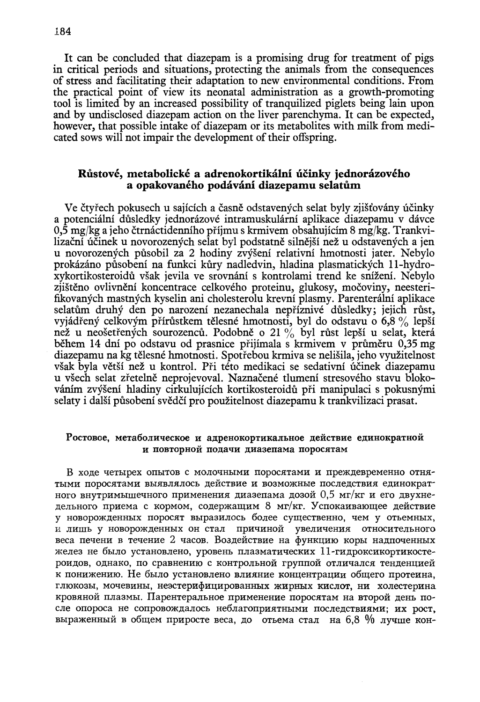It can be concluded that diazepam is a promising drug for treatment of pigs in critical periods and situations, protecting the animals from the consequences of stress and facilitating their adaptation to new environmental conditions. From the practical point of view its neonatal administration as a growth-promoting tool is limited by an increased possibility of tranquilized piglets being lain upon and by undisclosed diazepam action on the liver parenchyma. It can be expected, however, that possible intake of diazepam or its metabolites with milk from medicated sows will not impair the development of their offspring.

## Růstové, metabolické a adrenokortikální účinky jednorázového a opakovaného podávání diazepamu selatům

Ve čtyřech pokusech u sajících a časně odstavených selat byly zjišťovány účinky a potenciální důsledky jednorázové intramuskulární aplikace diazepamu v dávce 0,5 mg/kg a jeho čtrnáctidenního příjmu s krmivem obsahujícím 8 mg/kg. Trankvilizační účinek u novorozených selat byl podstatně silnější než u odstavených a jen u novorozenych pusobil za 2 hodiny zvyseni relativni hmotnosti jater. Nebylo prokazano pusobeni na funkci kury nadledvin, hladina plasmatickych l l-hydroxykortikosteroidů však jevila ve srovnání s kontrolami trend ke snížení. Nebvlo zjisteno ovlivneni koncentrace celkoveho proteinu, glukosy, mocoviny, neesterifikovanych mastnych kyselin ani cholesterolu krevni plasmy. Parenteralni aplikace selatům druhý den po narození nezanechala nepříznivé důsledky; jejich růst, vyjádřený celkovým přírůstkem tělesné hmotnosti, byl do odstavu o 6,8 % lepší než u neošetřených sourozenců. Podobně o 21 % byl růst lepší u selat, která během 14 dní po odstavu od prasnice přijímala s krmivem v průměru 0,35 mg diazepamu na kg telesne hmotnosti, Spotrebou krmiva se nelisila, jeho vyuzitelnost však byla větší než u kontrol. Při této medikaci se sedativní účinek diazepamu u všech selat zřetelně neprojevoval. Naznačené tlumení stresového stavu blokovanim zvyseni hladiny cirkuluiicich kortikosteroidu pri manipulaci s pokusnymi selaty i dalsi pusobeni svedci pro pouzitelnost diazepamu k trankvilizaci prasat.

## Ростовое, метаболическое и адренокортикальное действие единократной и повторной подачи диазепама поросятам

В ходе четырех опытов с молочными поросятами и преждевременно отня-TЫМИ ПОРОСЯТАМИ ВЫЯВЛЯЛОСЬ ДЕЙСТВИЕ И ВОЗМОЖНЫЕ ПОСЛЕДСТВИЯ ЕДИНОКРАТ<sup>-</sup> ного внутримышечного применения диазепама дозой 0,5 мг/кг и его двухнедельного приема с кормом, содержащим 8 мг/кг. Успокаивающее действие у новорожденных поросят выразилось более существенно, чем у отьемных, и лишь у новорожденных он стал причиной увеличения относительного веса печени в течение 2 часов. Воздействие на функцию коры надпоченных желез не было установлено, уровень плазматических 11-гидроксикортикостероидов, однако, по сравнению с контрольной группой отличался тенденцией к понижению. Не было установлено влияние концентрации общего протеина, глюкозы, мочевины, неэстерифицированных жирных кислот, ни холестерина кровяной плазмы. Парентеральное применение поросятам на второй день после опороса не сопровождалось неблагоприятными последствиями; их рост, выраженный в общем приросте веса, до отьема стал на 6,8 % лучше кон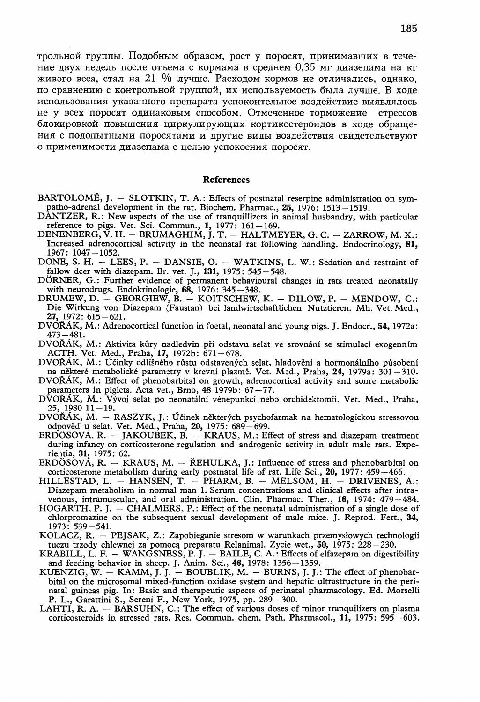трольной группы. Подобным образом, рост у поросят, принимавших в течение двух недель после отъема с кормама в среднем 0.35 мг диазепама на кг живого веса, стал на 21 % лучше. Расходом кормов не отличались, однако, по сравнению с контрольной группой, их используемость была лучше. В ходе использования указанного препарата успокоительное воздействие выявлялось не у всех поросят одинаковым способом. Отмеченное торможение стрессов блокировкой повышения циркулирующих кортикостероидов в ходе обращения с подопытными поросятами и другие виды воздействия свидетельствуют о применимости диазепама с целью успокоения поросят.

### **References**

- BARTOLOMÉ, J. SLOTKIN, T. A.: Effects of postnatal reserpine administration on sympatho-adrenal development in the rat. Biochem. Pharmac., 25, 1976: 1513-1519.
- DANTZER, R.: New aspects of the use of tranquillizers in animal husbandry, with particular reference to pigs. Vet. Sci. Commun., 1, 1977: 161-169.<br>DENENBERG, V. H. - BRUMAGHIM, J. T. - HALTMEYER, G. C. - ZARROW, M. X.:
- Increased adrenocortical activity in the neonatal rat following handling. Endocrinology, 81,
- 1967: 1047-1052.<br>DONE, S. H. LEES, P. DANSIE, O. WATKINS, L. W.: Sedation and restraint of fallow deer with diazepam. Br. vet. J., 131, 1975: 545–548.<br>DÖRNER, G.: Further evidence of permanent behavioural changes in rats treated neonatally
- with neurodrugs. Endokrinologie,  $68, 1976$ :  $345 348$ .
- DRUMEW, D. GEORGIEW, B. KOITSCHEW, K. DILOW, P. MENDOW, C.: Die Wirkung von Diazepam (Faustan) bei landwirtschaftlichen Nutztieren. Mh. Vet. Med.,  $27, 1972: 615 - 621.$
- DVOŘÁK, M.: Adrenocortical function in foetal, neonatal and young pigs. J. Endocr., 54, 1972a:  $473 - 481.$
- DVOŘÁK, M.: Aktivita kůry nadledvin při odstavu selat ve srovnání se stimulací exogenním ACTH. Vet. Med., Praha, 17, 1972b: 671-678.
- DVOŘÁK, M.: Účinky odlišného růstu odstavených selat, hladovění a hormonálního působení na některé metabolické parametry v krevní plazmě. Vet. Med., Praha, 24, 1979a: 301–310.
- DVOŘÁK, M.: Effect of phenobarbital on growth, adrenocortical activity and some metabolic parameters in piglets. Acta vet., Brno, 48 1979b: 67-77.
- DVOŘÁK, M.: Vývoj selat po neonatální vénepunkci nebo orchidektomii. Vet. Med., Praha, 25, 1980 11 – 19.<br>DVOŘÁK, M. – RASZYK, J.: Účinek některých psychofarmak na hematologickou stressovou
- odpověď u selat. Vet. Med., Praha, 20, 1975: 689–699.<br>ERDÖSOVÁ, R. JAKOUBEK, B. KRAUS, M.: Effect of stress and diazepam treatment
- during infancy on corticosterone regulation and androgenic activity in adult male rats. Experientia, 31, 1975: 62.<br>ERDÖSOVÁ, R. – KRAUS, M. – ŘEHULKA, J.: Influence of stress and phenobarbital on
- conticosterone metabolism during early postnatal life of rat. Life Sci., 20, 1977: 459–466.<br>HILLESTAD, L. HANSEN, T. PHARM, B. MELSOM, H. DRIVENES, A.:
- Diazepam metabolism in normal man 1. Serum concentrations and clinical effects after intravenous, intramuscular, and oral administration. Clin. Pharmac. Ther., 16, 1974: 479 - 484.
- HOGARTH, P. J. CHALMERS, P.: Effect of the neonatal administration of a single dose of chlorpromazine on the subsequent sexual development of male mice. J. Reprod. Fert., 34,  $1973: 539 - 541.$
- KOLACZ, R. PEJSAK, Z.: Zapobieganie stresom w warunkach przemysłowych technologii tuczu trzody chlewnej za pomocą preparatu Relanimal. Zycie wet., 50, 1975: 228-230.
- KRABILL, L. F. WANGSNESS, P. J. BAILE, C. A.: Effects of elfazepam on digestibility and feeding behavior in sheep. J. Anim. Sci., 46, 1978: 1356–1359.<br>KUENZIG, W. – KAMM, J. J. – BOUBLIK, M. – BURNS, J. J.: The effect of phenobar-
- bital on the microsomal mixed-function oxidase system and hepatic ultrastructure in the perinatal guineas pig. In: Basic and therapeutic aspects of perinatal pharmacology. Ed. Morselli P. L., Garattini S., Sereni F., New York, 1975, pp. 289–300.<br>LAHTI, R. A. – BARSUHN, C.: The effect of various doses of minor tranquilizers on plasma
- corticosteroids in stressed rats. Res. Commun. chem. Path. Pharmacol., 11, 1975: 595-603.